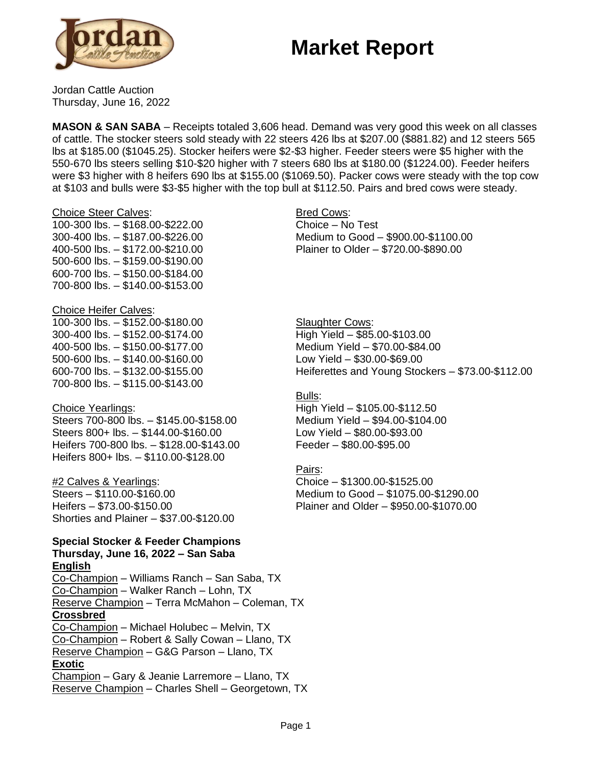## **Market Report**



Jordan Cattle Auction Thursday, June 16, 2022

**MASON & SAN SABA** – Receipts totaled 3,606 head. Demand was very good this week on all classes of cattle. The stocker steers sold steady with 22 steers 426 lbs at \$207.00 (\$881.82) and 12 steers 565 lbs at \$185.00 (\$1045.25). Stocker heifers were \$2-\$3 higher. Feeder steers were \$5 higher with the 550-670 lbs steers selling \$10-\$20 higher with 7 steers 680 lbs at \$180.00 (\$1224.00). Feeder heifers were \$3 higher with 8 heifers 690 lbs at \$155.00 (\$1069.50). Packer cows were steady with the top cow at \$103 and bulls were \$3-\$5 higher with the top bull at \$112.50. Pairs and bred cows were steady.

#### Choice Steer Calves:

100-300 lbs. – \$168.00-\$222.00 300-400 lbs. – \$187.00-\$226.00 400-500 lbs. – \$172.00-\$210.00 500-600 lbs. – \$159.00-\$190.00 600-700 lbs. – \$150.00-\$184.00 700-800 lbs. – \$140.00-\$153.00

### Choice Heifer Calves:

100-300 lbs. – \$152.00-\$180.00 300-400 lbs. – \$152.00-\$174.00 400-500 lbs. – \$150.00-\$177.00 500-600 lbs. – \$140.00-\$160.00 600-700 lbs. – \$132.00-\$155.00 700-800 lbs. – \$115.00-\$143.00

### Choice Yearlings:

Steers 700-800 lbs. – \$145.00-\$158.00 Steers 800+ lbs. – \$144.00-\$160.00 Heifers 700-800 lbs. – \$128.00-\$143.00 Heifers 800+ lbs. – \$110.00-\$128.00

### #2 Calves & Yearlings:

Steers – \$110.00-\$160.00 Heifers – \$73.00-\$150.00 Shorties and Plainer – \$37.00-\$120.00

### **Special Stocker & Feeder Champions**

**Thursday, June 16, 2022 – San Saba English** Co-Champion – Williams Ranch – San Saba, TX Co-Champion – Walker Ranch – Lohn, TX

Reserve Champion – Terra McMahon – Coleman, TX **Crossbred** Co-Champion – Michael Holubec – Melvin, TX Co-Champion – Robert & Sally Cowan – Llano, TX

Reserve Champion – G&G Parson – Llano, TX **Exotic** Champion – Gary & Jeanie Larremore – Llano, TX

Reserve Champion – Charles Shell – Georgetown, TX

### Bred Cows: Choice – No Test Medium to Good – \$900.00-\$1100.00 Plainer to Older – \$720.00-\$890.00

**Slaughter Cows:** High Yield – \$85.00-\$103.00 Medium Yield – \$70.00-\$84.00 Low Yield – \$30.00-\$69.00 Heiferettes and Young Stockers – \$73.00-\$112.00

### Bulls:

High Yield – \$105.00-\$112.50 Medium Yield – \$94.00-\$104.00 Low Yield – \$80.00-\$93.00 Feeder – \$80.00-\$95.00

### Pairs:

Choice – \$1300.00-\$1525.00 Medium to Good – \$1075.00-\$1290.00 Plainer and Older – \$950.00-\$1070.00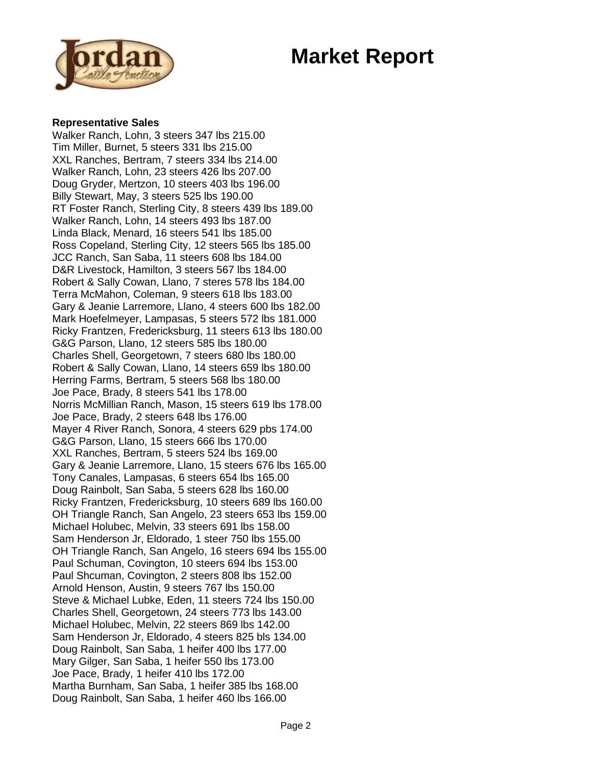## **Market Report**



### **Representative Sales**

Walker Ranch, Lohn, 3 steers 347 lbs 215.00 Tim Miller, Burnet, 5 steers 331 lbs 215.00 XXL Ranches, Bertram, 7 steers 334 lbs 214.00 Walker Ranch, Lohn, 23 steers 426 lbs 207.00 Doug Gryder, Mertzon, 10 steers 403 lbs 196.00 Billy Stewart, May, 3 steers 525 lbs 190.00 RT Foster Ranch, Sterling City, 8 steers 439 lbs 189.00 Walker Ranch, Lohn, 14 steers 493 lbs 187.00 Linda Black, Menard, 16 steers 541 lbs 185.00 Ross Copeland, Sterling City, 12 steers 565 lbs 185.00 JCC Ranch, San Saba, 11 steers 608 lbs 184.00 D&R Livestock, Hamilton, 3 steers 567 lbs 184.00 Robert & Sally Cowan, Llano, 7 steres 578 lbs 184.00 Terra McMahon, Coleman, 9 steers 618 lbs 183.00 Gary & Jeanie Larremore, Llano, 4 steers 600 lbs 182.00 Mark Hoefelmeyer, Lampasas, 5 steers 572 lbs 181.000 Ricky Frantzen, Fredericksburg, 11 steers 613 lbs 180.00 G&G Parson, Llano, 12 steers 585 lbs 180.00 Charles Shell, Georgetown, 7 steers 680 lbs 180.00 Robert & Sally Cowan, Llano, 14 steers 659 lbs 180.00 Herring Farms, Bertram, 5 steers 568 lbs 180.00 Joe Pace, Brady, 8 steers 541 lbs 178.00 Norris McMillian Ranch, Mason, 15 steers 619 lbs 178.00 Joe Pace, Brady, 2 steers 648 lbs 176.00 Mayer 4 River Ranch, Sonora, 4 steers 629 pbs 174.00 G&G Parson, Llano, 15 steers 666 lbs 170.00 XXL Ranches, Bertram, 5 steers 524 lbs 169.00 Gary & Jeanie Larremore, Llano, 15 steers 676 lbs 165.00 Tony Canales, Lampasas, 6 steers 654 lbs 165.00 Doug Rainbolt, San Saba, 5 steers 628 lbs 160.00 Ricky Frantzen, Fredericksburg, 10 steers 689 lbs 160.00 OH Triangle Ranch, San Angelo, 23 steers 653 lbs 159.00 Michael Holubec, Melvin, 33 steers 691 lbs 158.00 Sam Henderson Jr, Eldorado, 1 steer 750 lbs 155.00 OH Triangle Ranch, San Angelo, 16 steers 694 lbs 155.00 Paul Schuman, Covington, 10 steers 694 lbs 153.00 Paul Shcuman, Covington, 2 steers 808 lbs 152.00 Arnold Henson, Austin, 9 steers 767 lbs 150.00 Steve & Michael Lubke, Eden, 11 steers 724 lbs 150.00 Charles Shell, Georgetown, 24 steers 773 lbs 143.00 Michael Holubec, Melvin, 22 steers 869 lbs 142.00 Sam Henderson Jr, Eldorado, 4 steers 825 bls 134.00 Doug Rainbolt, San Saba, 1 heifer 400 lbs 177.00 Mary Gilger, San Saba, 1 heifer 550 lbs 173.00 Joe Pace, Brady, 1 heifer 410 lbs 172.00 Martha Burnham, San Saba, 1 heifer 385 lbs 168.00 Doug Rainbolt, San Saba, 1 heifer 460 lbs 166.00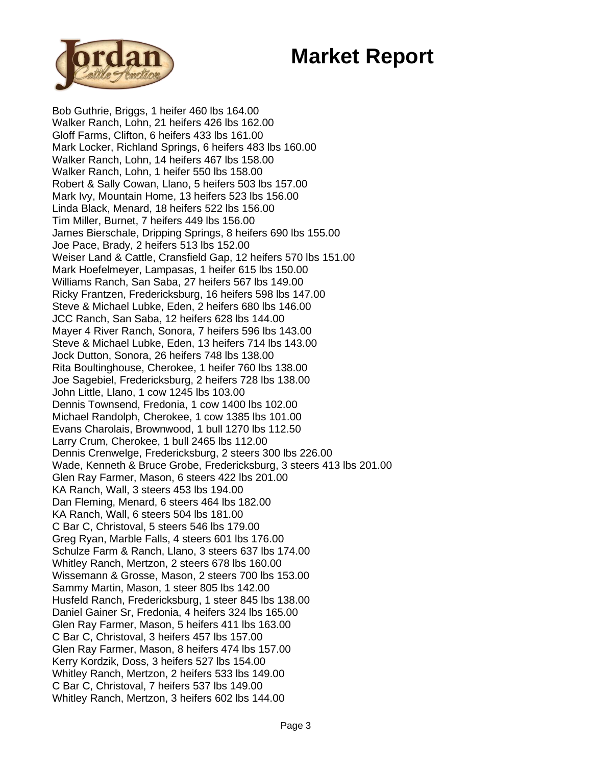# **Market Report**



Bob Guthrie, Briggs, 1 heifer 460 lbs 164.00 Walker Ranch, Lohn, 21 heifers 426 lbs 162.00 Gloff Farms, Clifton, 6 heifers 433 lbs 161.00 Mark Locker, Richland Springs, 6 heifers 483 lbs 160.00 Walker Ranch, Lohn, 14 heifers 467 lbs 158.00 Walker Ranch, Lohn, 1 heifer 550 lbs 158.00 Robert & Sally Cowan, Llano, 5 heifers 503 lbs 157.00 Mark Ivy, Mountain Home, 13 heifers 523 lbs 156.00 Linda Black, Menard, 18 heifers 522 lbs 156.00 Tim Miller, Burnet, 7 heifers 449 lbs 156.00 James Bierschale, Dripping Springs, 8 heifers 690 lbs 155.00 Joe Pace, Brady, 2 heifers 513 lbs 152.00 Weiser Land & Cattle, Cransfield Gap, 12 heifers 570 lbs 151.00 Mark Hoefelmeyer, Lampasas, 1 heifer 615 lbs 150.00 Williams Ranch, San Saba, 27 heifers 567 lbs 149.00 Ricky Frantzen, Fredericksburg, 16 heifers 598 lbs 147.00 Steve & Michael Lubke, Eden, 2 heifers 680 lbs 146.00 JCC Ranch, San Saba, 12 heifers 628 lbs 144.00 Mayer 4 River Ranch, Sonora, 7 heifers 596 lbs 143.00 Steve & Michael Lubke, Eden, 13 heifers 714 lbs 143.00 Jock Dutton, Sonora, 26 heifers 748 lbs 138.00 Rita Boultinghouse, Cherokee, 1 heifer 760 lbs 138.00 Joe Sagebiel, Fredericksburg, 2 heifers 728 lbs 138.00 John Little, Llano, 1 cow 1245 lbs 103.00 Dennis Townsend, Fredonia, 1 cow 1400 lbs 102.00 Michael Randolph, Cherokee, 1 cow 1385 lbs 101.00 Evans Charolais, Brownwood, 1 bull 1270 lbs 112.50 Larry Crum, Cherokee, 1 bull 2465 lbs 112.00 Dennis Crenwelge, Fredericksburg, 2 steers 300 lbs 226.00 Wade, Kenneth & Bruce Grobe, Fredericksburg, 3 steers 413 lbs 201.00 Glen Ray Farmer, Mason, 6 steers 422 lbs 201.00 KA Ranch, Wall, 3 steers 453 lbs 194.00 Dan Fleming, Menard, 6 steers 464 lbs 182.00 KA Ranch, Wall, 6 steers 504 lbs 181.00 C Bar C, Christoval, 5 steers 546 lbs 179.00 Greg Ryan, Marble Falls, 4 steers 601 lbs 176.00 Schulze Farm & Ranch, Llano, 3 steers 637 lbs 174.00 Whitley Ranch, Mertzon, 2 steers 678 lbs 160.00 Wissemann & Grosse, Mason, 2 steers 700 lbs 153.00 Sammy Martin, Mason, 1 steer 805 lbs 142.00 Husfeld Ranch, Fredericksburg, 1 steer 845 lbs 138.00 Daniel Gainer Sr, Fredonia, 4 heifers 324 lbs 165.00 Glen Ray Farmer, Mason, 5 heifers 411 lbs 163.00 C Bar C, Christoval, 3 heifers 457 lbs 157.00 Glen Ray Farmer, Mason, 8 heifers 474 lbs 157.00 Kerry Kordzik, Doss, 3 heifers 527 lbs 154.00 Whitley Ranch, Mertzon, 2 heifers 533 lbs 149.00 C Bar C, Christoval, 7 heifers 537 lbs 149.00 Whitley Ranch, Mertzon, 3 heifers 602 lbs 144.00